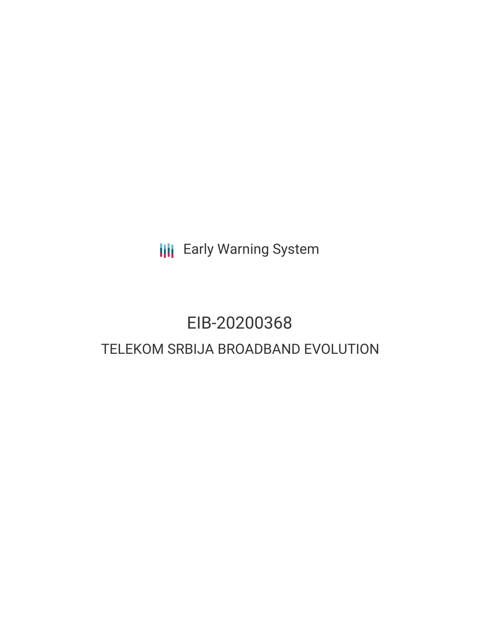**III** Early Warning System

# EIB-20200368 TELEKOM SRBIJA BROADBAND EVOLUTION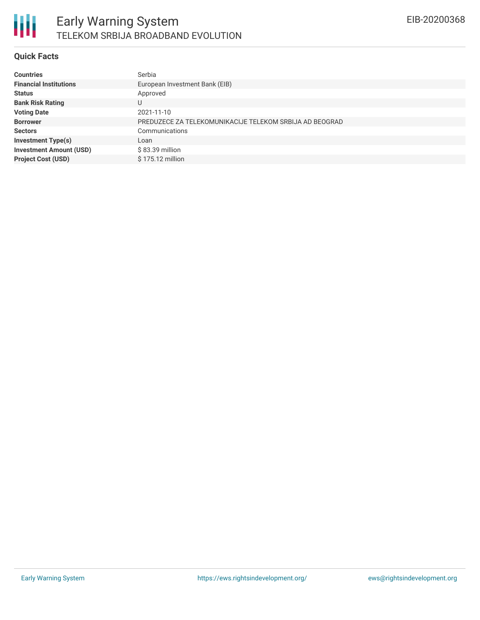

#### **Quick Facts**

| <b>Countries</b>               | Serbia                                                  |
|--------------------------------|---------------------------------------------------------|
| <b>Financial Institutions</b>  | European Investment Bank (EIB)                          |
| <b>Status</b>                  | Approved                                                |
| <b>Bank Risk Rating</b>        | U                                                       |
| <b>Voting Date</b>             | 2021-11-10                                              |
| <b>Borrower</b>                | PREDUZECE ZA TELEKOMUNIKACIJE TELEKOM SRBIJA AD BEOGRAD |
| <b>Sectors</b>                 | Communications                                          |
| <b>Investment Type(s)</b>      | Loan                                                    |
| <b>Investment Amount (USD)</b> | \$83.39 million                                         |
| <b>Project Cost (USD)</b>      | $$175.12$ million                                       |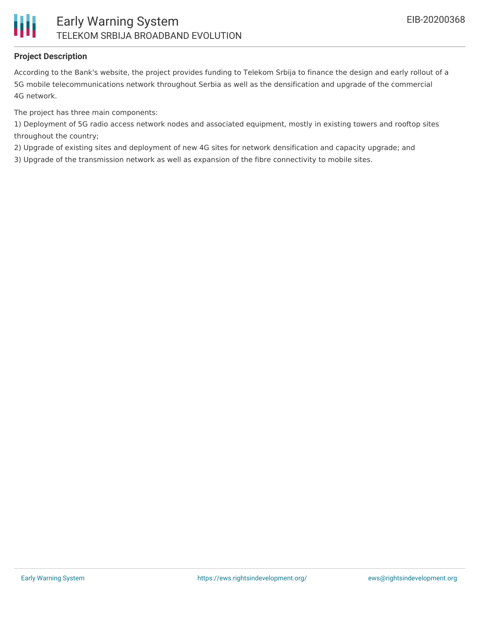

#### **Project Description**

According to the Bank's website, the project provides funding to Telekom Srbija to finance the design and early rollout of a 5G mobile telecommunications network throughout Serbia as well as the densification and upgrade of the commercial 4G network.

The project has three main components:

1) Deployment of 5G radio access network nodes and associated equipment, mostly in existing towers and rooftop sites throughout the country;

2) Upgrade of existing sites and deployment of new 4G sites for network densification and capacity upgrade; and

3) Upgrade of the transmission network as well as expansion of the fibre connectivity to mobile sites.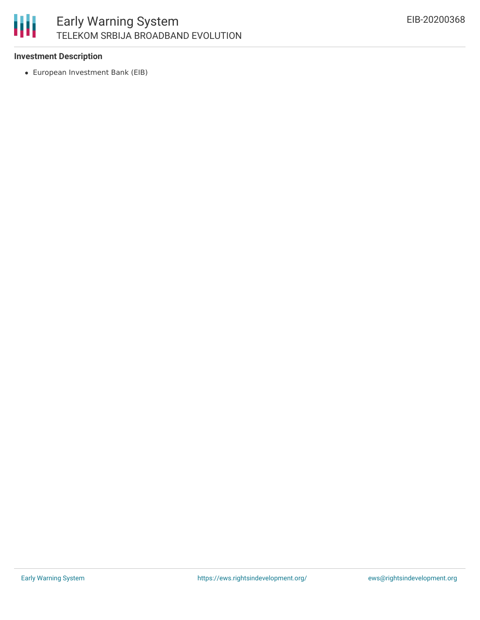

#### **Investment Description**

European Investment Bank (EIB)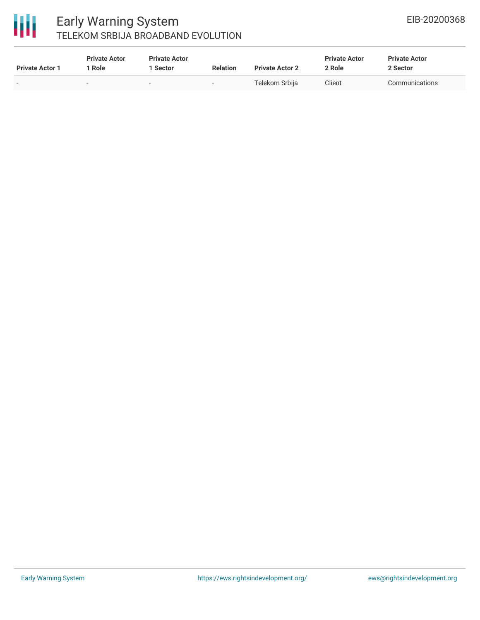

### Early Warning System TELEKOM SRBIJA BROADBAND EVOLUTION

| <b>Private Actor 1</b> | <b>Private Actor</b><br>Role | <b>Private Actor</b><br><b>Sector</b> | <b>Relation</b> | <b>Private Actor 2</b> | <b>Private Actor</b><br>2 Role | <b>Private Actor</b><br>2 Sector |  |
|------------------------|------------------------------|---------------------------------------|-----------------|------------------------|--------------------------------|----------------------------------|--|
| -                      |                              | $\overline{\phantom{a}}$              | $\sim$          | Telekom Srbija         | Client                         | Communications                   |  |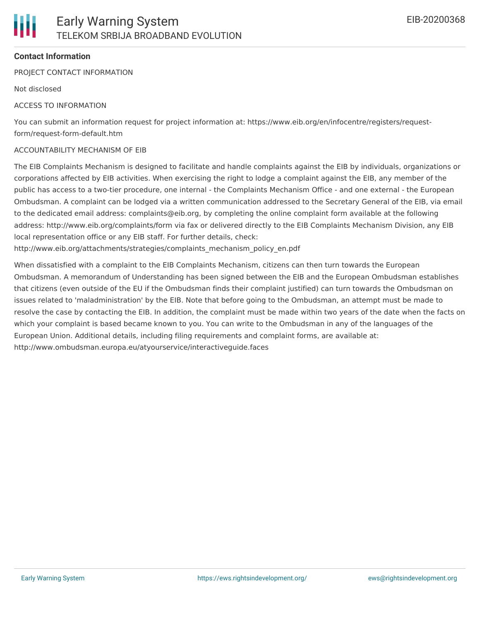

#### **Contact Information**

PROJECT CONTACT INFORMATION

Not disclosed

#### ACCESS TO INFORMATION

You can submit an information request for project information at: https://www.eib.org/en/infocentre/registers/requestform/request-form-default.htm

#### ACCOUNTABILITY MECHANISM OF EIB

The EIB Complaints Mechanism is designed to facilitate and handle complaints against the EIB by individuals, organizations or corporations affected by EIB activities. When exercising the right to lodge a complaint against the EIB, any member of the public has access to a two-tier procedure, one internal - the Complaints Mechanism Office - and one external - the European Ombudsman. A complaint can be lodged via a written communication addressed to the Secretary General of the EIB, via email to the dedicated email address: complaints@eib.org, by completing the online complaint form available at the following address: http://www.eib.org/complaints/form via fax or delivered directly to the EIB Complaints Mechanism Division, any EIB local representation office or any EIB staff. For further details, check:

http://www.eib.org/attachments/strategies/complaints\_mechanism\_policy\_en.pdf

When dissatisfied with a complaint to the EIB Complaints Mechanism, citizens can then turn towards the European Ombudsman. A memorandum of Understanding has been signed between the EIB and the European Ombudsman establishes that citizens (even outside of the EU if the Ombudsman finds their complaint justified) can turn towards the Ombudsman on issues related to 'maladministration' by the EIB. Note that before going to the Ombudsman, an attempt must be made to resolve the case by contacting the EIB. In addition, the complaint must be made within two years of the date when the facts on which your complaint is based became known to you. You can write to the Ombudsman in any of the languages of the European Union. Additional details, including filing requirements and complaint forms, are available at: http://www.ombudsman.europa.eu/atyourservice/interactiveguide.faces